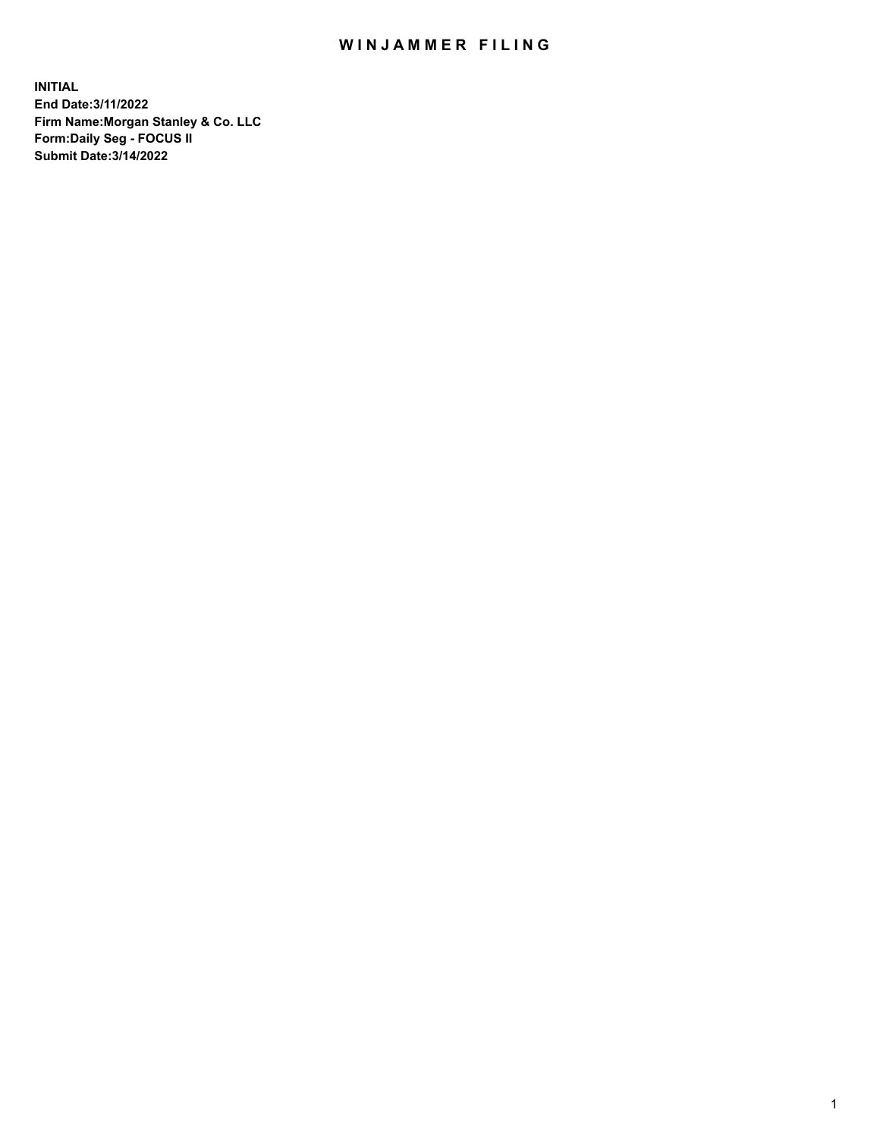## WIN JAMMER FILING

**INITIAL End Date:3/11/2022 Firm Name:Morgan Stanley & Co. LLC Form:Daily Seg - FOCUS II Submit Date:3/14/2022**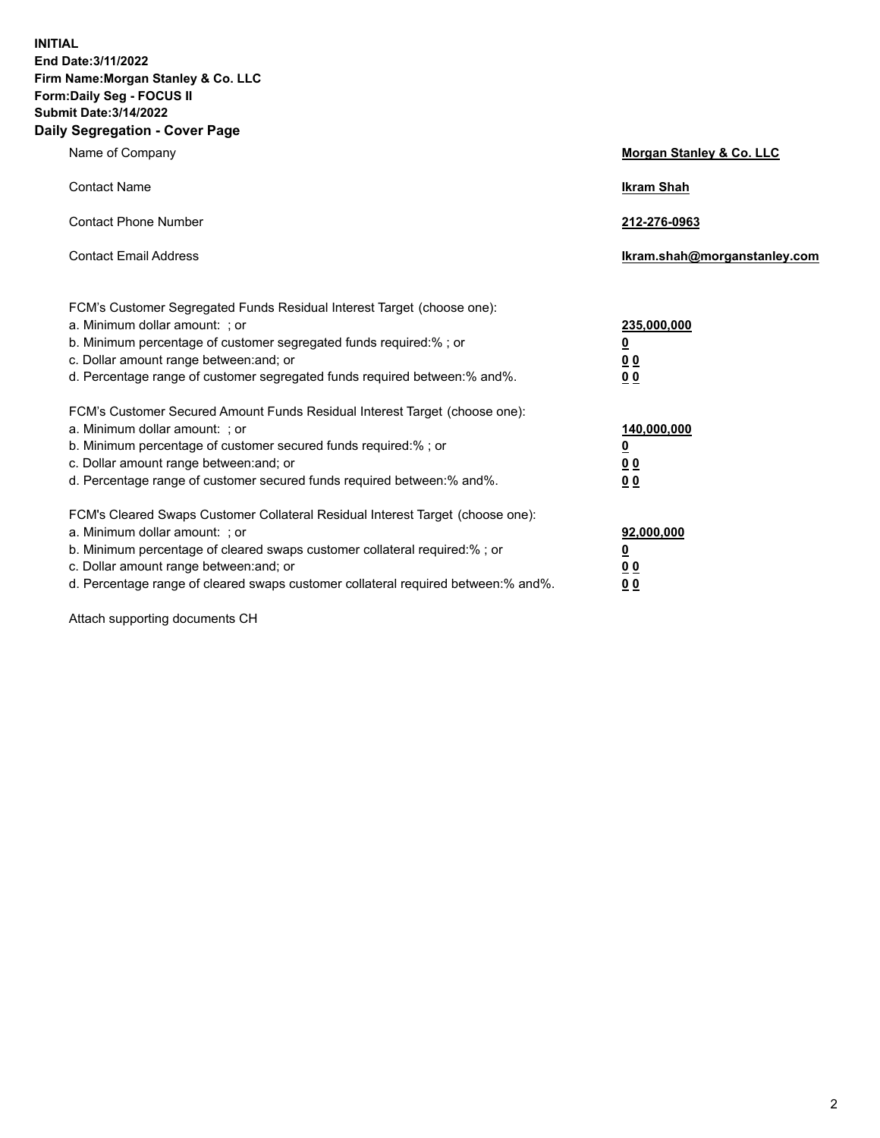**INITIAL End Date:3/11/2022 Firm Name:Morgan Stanley & Co. LLC Form:Daily Seg - FOCUS II Submit Date:3/14/2022 Daily Segregation - Cover Page**

| Name of Company                                                                                                                                                                                                                                                                                                                | <b>Morgan Stanley &amp; Co. LLC</b>                    |
|--------------------------------------------------------------------------------------------------------------------------------------------------------------------------------------------------------------------------------------------------------------------------------------------------------------------------------|--------------------------------------------------------|
| <b>Contact Name</b>                                                                                                                                                                                                                                                                                                            | <b>Ikram Shah</b>                                      |
| <b>Contact Phone Number</b>                                                                                                                                                                                                                                                                                                    | 212-276-0963                                           |
| <b>Contact Email Address</b>                                                                                                                                                                                                                                                                                                   | Ikram.shah@morganstanley.com                           |
| FCM's Customer Segregated Funds Residual Interest Target (choose one):<br>a. Minimum dollar amount: : or<br>b. Minimum percentage of customer segregated funds required:%; or<br>c. Dollar amount range between: and; or<br>d. Percentage range of customer segregated funds required between:% and%.                          | 235,000,000<br><u>0</u><br><u>00</u><br><u>00</u>      |
| FCM's Customer Secured Amount Funds Residual Interest Target (choose one):<br>a. Minimum dollar amount: ; or<br>b. Minimum percentage of customer secured funds required:%; or<br>c. Dollar amount range between: and; or<br>d. Percentage range of customer secured funds required between:% and%.                            | 140,000,000<br><u>0</u><br><u>00</u><br>0 <sub>0</sub> |
| FCM's Cleared Swaps Customer Collateral Residual Interest Target (choose one):<br>a. Minimum dollar amount: ; or<br>b. Minimum percentage of cleared swaps customer collateral required:% ; or<br>c. Dollar amount range between: and; or<br>d. Percentage range of cleared swaps customer collateral required between:% and%. | 92,000,000<br><u>0</u><br><u>00</u><br>00              |

Attach supporting documents CH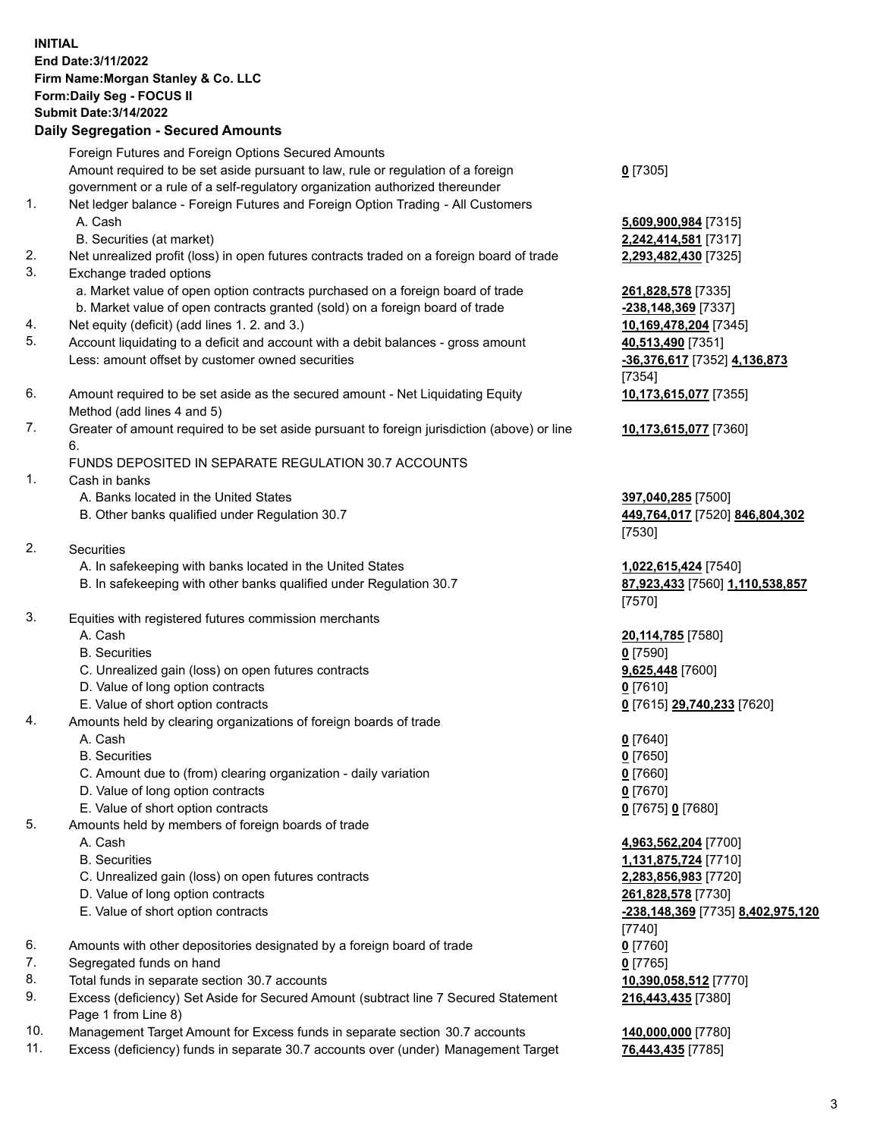## **INITIAL End Date:3/11/2022 Firm Name:Morgan Stanley & Co. LLC Form:Daily Seg - FOCUS II Submit Date:3/14/2022**

## **Daily Segregation - Secured Amounts**

Foreign Futures and Foreign Options Secured Amounts Amount required to be set aside pursuant to law, rule or regulation of a foreign government or a rule of a self-regulatory organization authorized thereunder

- 1. Net ledger balance Foreign Futures and Foreign Option Trading All Customers A. Cash **5,609,900,984** [7315]
	- B. Securities (at market) **2,242,414,581** [7317]
- 2. Net unrealized profit (loss) in open futures contracts traded on a foreign board of trade **2,293,482,430** [7325]
- 3. Exchange traded options
	- a. Market value of open option contracts purchased on a foreign board of trade **261,828,578** [7335]
	- b. Market value of open contracts granted (sold) on a foreign board of trade **-238,148,369** [7337]
- 4. Net equity (deficit) (add lines 1. 2. and 3.) **10,169,478,204** [7345]
- 5. Account liquidating to a deficit and account with a debit balances gross amount **40,513,490** [7351] Less: amount offset by customer owned securities **-36,376,617** [7352] **4,136,873**
- 6. Amount required to be set aside as the secured amount Net Liquidating Equity Method (add lines 4 and 5)
- 7. Greater of amount required to be set aside pursuant to foreign jurisdiction (above) or line 6.

## FUNDS DEPOSITED IN SEPARATE REGULATION 30.7 ACCOUNTS

- 1. Cash in banks
	- A. Banks located in the United States **397,040,285** [7500]
	- B. Other banks qualified under Regulation 30.7 **449,764,017** [7520] **846,804,302**
- 2. Securities
	- A. In safekeeping with banks located in the United States **1,022,615,424** [7540]
	- B. In safekeeping with other banks qualified under Regulation 30.7 **87,923,433** [7560] **1,110,538,857**
- 3. Equities with registered futures commission merchants
	-
	- B. Securities **0** [7590]
	- C. Unrealized gain (loss) on open futures contracts **9,625,448** [7600]
	- D. Value of long option contracts **0** [7610]
	- E. Value of short option contracts **0** [7615] **29,740,233** [7620]
- 4. Amounts held by clearing organizations of foreign boards of trade
	-
	- B. Securities **0** [7650]
	- C. Amount due to (from) clearing organization daily variation **0** [7660]
	- D. Value of long option contracts **0** [7670]
	- E. Value of short option contracts **0** [7675] **0** [7680]
- 5. Amounts held by members of foreign boards of trade
	-
	-
	- C. Unrealized gain (loss) on open futures contracts **2,283,856,983** [7720]
	- D. Value of long option contracts **261,828,578** [7730]
	-
- 6. Amounts with other depositories designated by a foreign board of trade **0** [7760]
- 7. Segregated funds on hand **0** [7765]
- 8. Total funds in separate section 30.7 accounts **10,390,058,512** [7770]
- 9. Excess (deficiency) Set Aside for Secured Amount (subtract line 7 Secured Statement Page 1 from Line 8)
- 10. Management Target Amount for Excess funds in separate section 30.7 accounts **140,000,000** [7780]
- 11. Excess (deficiency) funds in separate 30.7 accounts over (under) Management Target **76,443,435** [7785]

**0** [7305]

[7354] **10,173,615,077** [7355]

**10,173,615,077** [7360]

[7530]

[7570]

A. Cash **20,114,785** [7580]

A. Cash **0** [7640]

 A. Cash **4,963,562,204** [7700] B. Securities **1,131,875,724** [7710] E. Value of short option contracts **-238,148,369** [7735] **8,402,975,120** [7740] **216,443,435** [7380]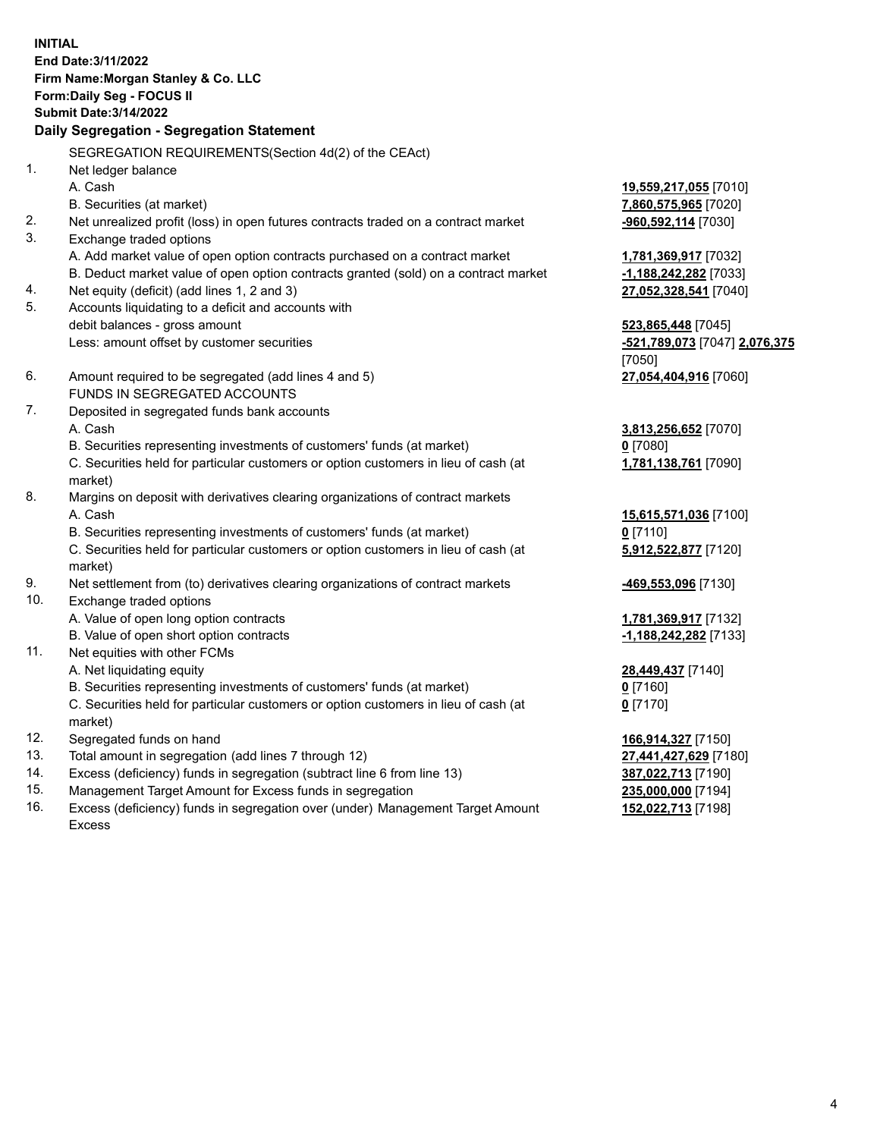**INITIAL End Date:3/11/2022 Firm Name:Morgan Stanley & Co. LLC Form:Daily Seg - FOCUS II Submit Date:3/14/2022 Daily Segregation - Segregation Statement** SEGREGATION REQUIREMENTS(Section 4d(2) of the CEAct) 1. Net ledger balance A. Cash **19,559,217,055** [7010] B. Securities (at market) **7,860,575,965** [7020] 2. Net unrealized profit (loss) in open futures contracts traded on a contract market **-960,592,114** [7030] 3. Exchange traded options A. Add market value of open option contracts purchased on a contract market **1,781,369,917** [7032] B. Deduct market value of open option contracts granted (sold) on a contract market **-1,188,242,282** [7033] 4. Net equity (deficit) (add lines 1, 2 and 3) **27,052,328,541** [7040] 5. Accounts liquidating to a deficit and accounts with debit balances - gross amount **523,865,448** [7045] Less: amount offset by customer securities **-521,789,073** [7047] **2,076,375** [7050] 6. Amount required to be segregated (add lines 4 and 5) **27,054,404,916** [7060] FUNDS IN SEGREGATED ACCOUNTS 7. Deposited in segregated funds bank accounts A. Cash **3,813,256,652** [7070] B. Securities representing investments of customers' funds (at market) **0** [7080] C. Securities held for particular customers or option customers in lieu of cash (at market) **1,781,138,761** [7090] 8. Margins on deposit with derivatives clearing organizations of contract markets A. Cash **15,615,571,036** [7100] B. Securities representing investments of customers' funds (at market) **0** [7110] C. Securities held for particular customers or option customers in lieu of cash (at market) **5,912,522,877** [7120] 9. Net settlement from (to) derivatives clearing organizations of contract markets **-469,553,096** [7130] 10. Exchange traded options A. Value of open long option contracts **1,781,369,917** [7132] B. Value of open short option contracts **and the set of our of the set of our of the set of the set of the set of the set of the set of the set of the set of the set of the set of the set of the set of the set of the set o** 11. Net equities with other FCMs A. Net liquidating equity **28,449,437** [7140] B. Securities representing investments of customers' funds (at market) **0** [7160] C. Securities held for particular customers or option customers in lieu of cash (at market) **0** [7170] 12. Segregated funds on hand **166,914,327** [7150] 13. Total amount in segregation (add lines 7 through 12) **27,441,427,629** [7180] 14. Excess (deficiency) funds in segregation (subtract line 6 from line 13) **387,022,713** [7190] 15. Management Target Amount for Excess funds in segregation **235,000,000** [7194]

16. Excess (deficiency) funds in segregation over (under) Management Target Amount Excess

**152,022,713** [7198]